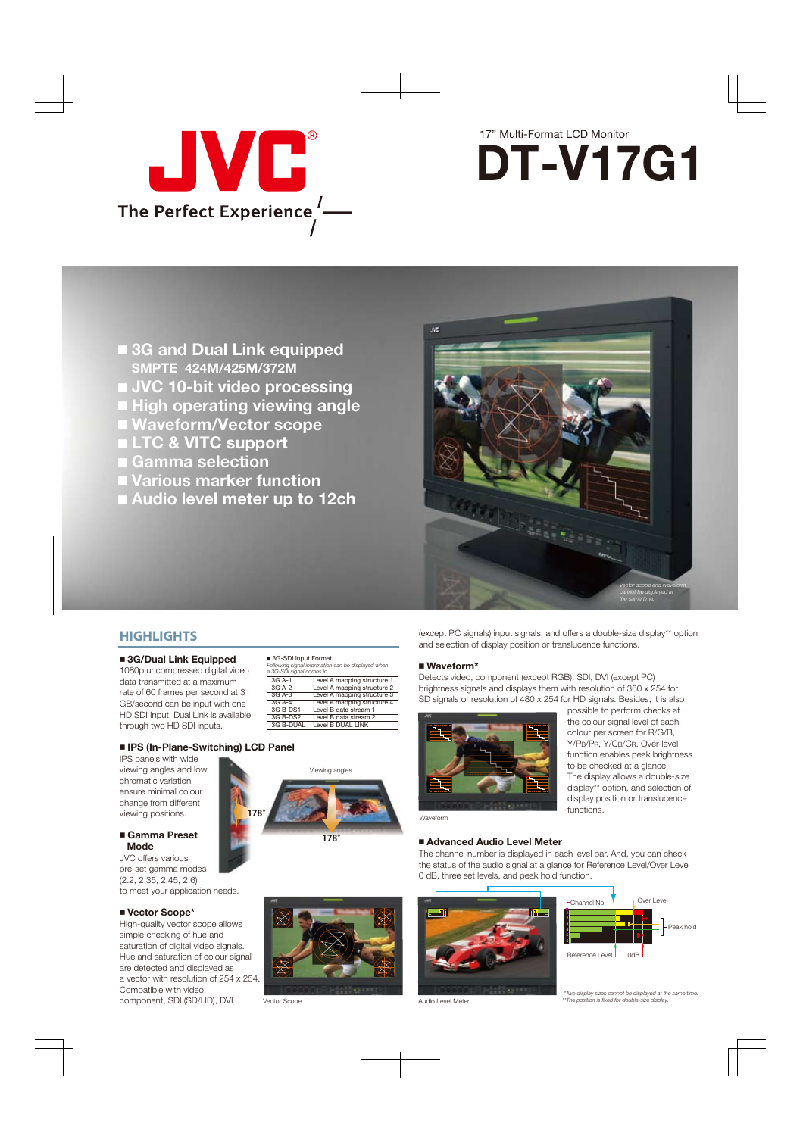



- **3G and Dual Link equipped SMPTE 424M/425M/372M**
- **JVC 10-bit video processing**
- **High operating viewing angle**
- **Waveform/Vector scope**
- **LTC & VITC support**
- **Gamma selection**
- **Various marker function**
- **Audio level meter up to 12ch**



## **HIGHLIGHTS**

### **3G/Dual Link Equipped**

1080p uncompressed digital video data transmitted at a maximum rate of 60 frames per second at 3 GB/second can be input with one HD SDI Input. Dual Link is available through two HD SDI inputs.

| ■ 3G-SDI Input Format<br>a 3G-SDI signal comes in. | Following signal information can be displayed when |
|----------------------------------------------------|----------------------------------------------------|
| 3G A-1                                             | Level A mapping structure 1                        |
| 3G A-2                                             | Level A mapping structure 2                        |
| $3GA-3$                                            | Level A mapping structure 3                        |
| $3G$ A-4                                           | Level A mapping structure 4                        |
| 3G B-DS1                                           | Level B data stream 1                              |
| 3G B-DS2                                           | Level B data stream 2                              |
| 3G B-DUAL                                          | Level B DUAL LINK                                  |

### **IPS (In-Plane-Switching) LCD Panel**

IPS panels with wide viewing angles and low chromatic variation ensure minimal colour change from different viewing positions.

### **Gamma Preset Mode**

JVC offers various pre-set gamma modes (2.2, 2.35, 2.45, 2.6) to meet your application needs.

### **Vector Scope\***

High-quality vector scope allows simple checking of hue and saturation of digital video signals. Hue and saturation of colour signal are detected and displayed as a vector with resolution of 254 x 254. Compatible with video, component, SDI (SD/HD), DVI



(except PC signals) input signals, and offers a double-size display\*\* option and selection of display position or translucence functions.

### **Waveform\***

Detects video, component (except RGB), SDI, DVI (except PC) brightness signals and displays them with resolution of 360 x 254 for SD signals or resolution of 480 x 254 for HD signals. Besides, it is also



the colour signal level of each colour per screen for R/G/B, Y/PB/PR, Y/CB/CR. Over-level function enables peak brightness to be checked at a glance. The display allows a double-size display\*\* option, and selection of display position or translucence functions.

possible to perform checks at

### Waveform

### **Advanced Audio Level Meter**

The channel number is displayed in each level bar. And, you can check the status of the audio signal at a glance for Reference Level/Over Level 0 dB, three set levels, and peak hold function.



Vector Scope



Audio Level Meter



 *\*Two display sizes cannot be displayed at the same time. \*\*The position is fixed for double-size display.*